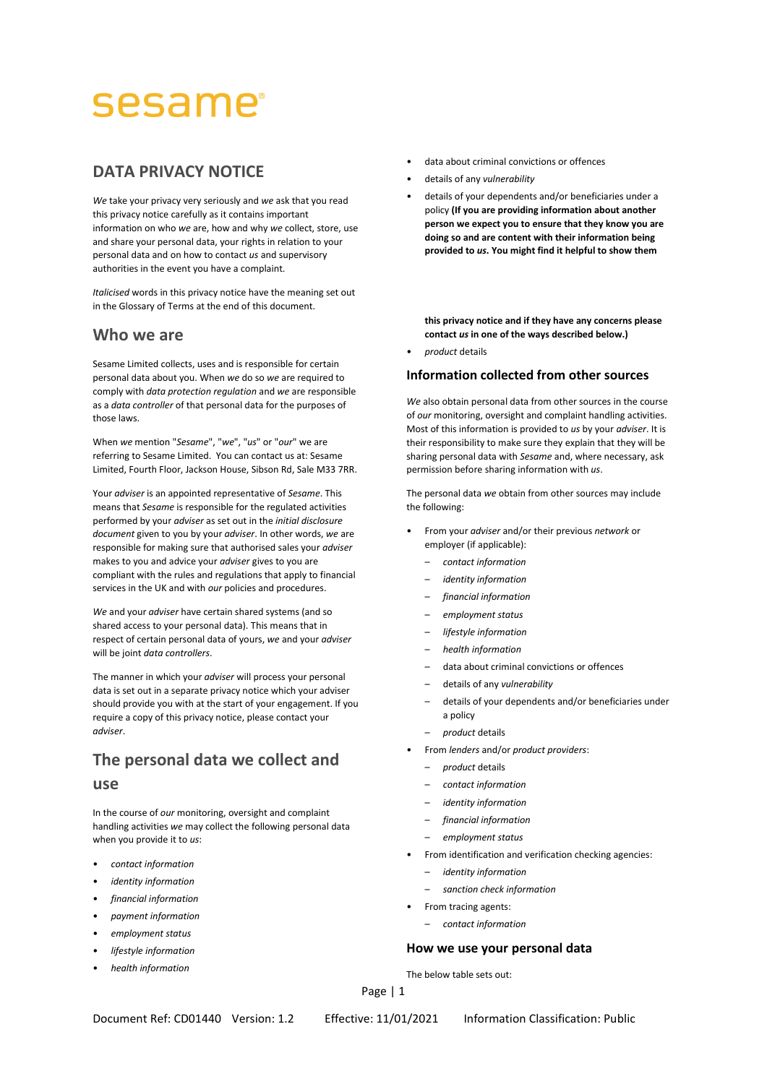# sesame

# **DATA PRIVACY NOTICE**

*We* take your privacy very seriously and *we* ask that you read this privacy notice carefully as it contains important information on who *we* are, how and why *we* collect, store, use and share your personal data, your rights in relation to your personal data and on how to contact *us* and supervisory authorities in the event you have a complaint.

*Italicised* words in this privacy notice have the meaning set out in the Glossary of Terms at the end of this document.

# **Who we are**

Sesame Limited collects, uses and is responsible for certain personal data about you. When *we* do so *we* are required to comply with *data protection regulation* and *we* are responsible as a *data controller* of that personal data for the purposes of those laws.

When *we* mention "*Sesame*", "*we*", "*us*" or "*our*" we are referring to Sesame Limited. You can contact us at: Sesame Limited, Fourth Floor, Jackson House, Sibson Rd, Sale M33 7RR.

Your *adviser* is an appointed representative of *Sesame*. This means that *Sesame* is responsible for the regulated activities performed by your *adviser* as set out in the *initial disclosure document* given to you by your *adviser*. In other words, *we* are responsible for making sure that authorised sales your *adviser* makes to you and advice your *adviser* gives to you are compliant with the rules and regulations that apply to financial services in the UK and with *our* policies and procedures.

*We* and your *adviser* have certain shared systems (and so shared access to your personal data). This means that in respect of certain personal data of yours, *we* and your *adviser* will be joint *data controllers*.

The manner in which your *adviser* will process your personal data is set out in a separate privacy notice which your adviser should provide you with at the start of your engagement. If you require a copy of this privacy notice, please contact your *adviser*.

# **The personal data we collect and use**

In the course of *our* monitoring, oversight and complaint handling activities *we* may collect the following personal data when you provide it to *us*:

- *contact information*
- *identity information*
- *financial information*
- *payment information*
- *employment status*
- *lifestyle information*
- *health information*
- data about criminal convictions or offences
- details of any *vulnerability*
- details of your dependents and/or beneficiaries under a policy **(If you are providing information about another person we expect you to ensure that they know you are doing so and are content with their information being provided to** *us***. You might find it helpful to show them**

**this privacy notice and if they have any concerns please contact** *us* **in one of the ways described below.)**

• *product* details

### **Information collected from other sources**

*We* also obtain personal data from other sources in the course of *our* monitoring, oversight and complaint handling activities. Most of this information is provided to *us* by your *adviser*. It is their responsibility to make sure they explain that they will be sharing personal data with *Sesame* and, where necessary, ask permission before sharing information with *us*.

The personal data *we* obtain from other sources may include the following:

- From your *adviser* and/or their previous *network* or employer (if applicable):
	- *contact information*
	- *identity information*
	- *financial information*
	- *employment status*
	- *lifestyle information*
	- *health information*
	- data about criminal convictions or offences
	- details of any *vulnerability*
	- details of your dependents and/or beneficiaries under a policy
	- *product* details
- From *lenders* and/or *product providers*:
	- *product* details
	- *contact information*
	- *identity information*
	- *financial information*
	- *employment status*
- From identification and verification checking agencies:
	- *identity information*
	- *sanction check information*
- From tracing agents:
	- *contact information*

### **How we use your personal data**

The below table sets out: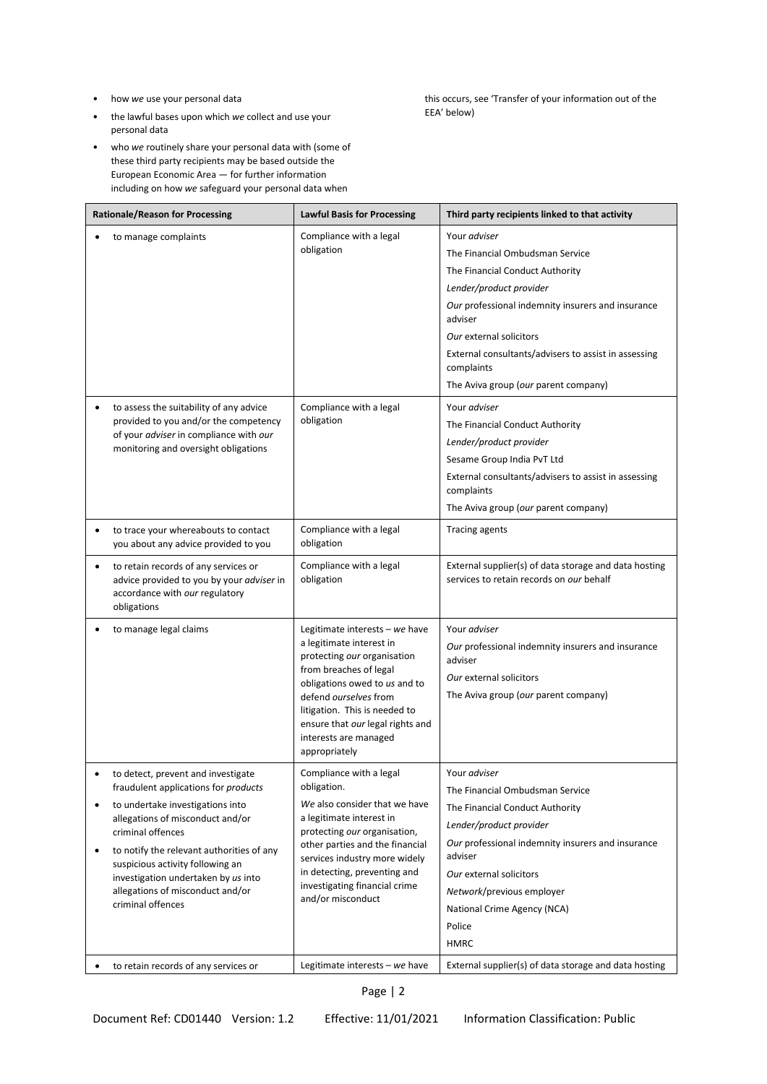- how *we* use your personal data
- the lawful bases upon which *we* collect and use your personal data
- who *we* routinely share your personal data with (some of these third party recipients may be based outside the European Economic Area — for further information including on how *we* safeguard your personal data when

this occurs, see 'Transfer of your information out of the EEA' below)

| <b>Rationale/Reason for Processing</b>                                                                                                                                                                                                                                                                                                                                             | <b>Lawful Basis for Processing</b>                                                                                                                                                                                                                                                            | Third party recipients linked to that activity                                                                                                                                                                                                                                                                                                                            |
|------------------------------------------------------------------------------------------------------------------------------------------------------------------------------------------------------------------------------------------------------------------------------------------------------------------------------------------------------------------------------------|-----------------------------------------------------------------------------------------------------------------------------------------------------------------------------------------------------------------------------------------------------------------------------------------------|---------------------------------------------------------------------------------------------------------------------------------------------------------------------------------------------------------------------------------------------------------------------------------------------------------------------------------------------------------------------------|
| to manage complaints<br>to assess the suitability of any advice<br>provided to you and/or the competency                                                                                                                                                                                                                                                                           | Compliance with a legal<br>obligation<br>Compliance with a legal<br>obligation                                                                                                                                                                                                                | Your adviser<br>The Financial Ombudsman Service<br>The Financial Conduct Authority<br>Lender/product provider<br>Our professional indemnity insurers and insurance<br>adviser<br>Our external solicitors<br>External consultants/advisers to assist in assessing<br>complaints<br>The Aviva group (our parent company)<br>Your adviser<br>The Financial Conduct Authority |
| of your adviser in compliance with our<br>monitoring and oversight obligations                                                                                                                                                                                                                                                                                                     |                                                                                                                                                                                                                                                                                               | Lender/product provider<br>Sesame Group India PvT Ltd<br>External consultants/advisers to assist in assessing<br>complaints<br>The Aviva group (our parent company)                                                                                                                                                                                                       |
| to trace your whereabouts to contact<br>you about any advice provided to you                                                                                                                                                                                                                                                                                                       | Compliance with a legal<br>obligation                                                                                                                                                                                                                                                         | <b>Tracing agents</b>                                                                                                                                                                                                                                                                                                                                                     |
| to retain records of any services or<br>$\bullet$<br>advice provided to you by your adviser in<br>accordance with our regulatory<br>obligations                                                                                                                                                                                                                                    | Compliance with a legal<br>obligation                                                                                                                                                                                                                                                         | External supplier(s) of data storage and data hosting<br>services to retain records on our behalf                                                                                                                                                                                                                                                                         |
| to manage legal claims                                                                                                                                                                                                                                                                                                                                                             | Legitimate interests - we have<br>a legitimate interest in<br>protecting our organisation<br>from breaches of legal<br>obligations owed to us and to<br>defend ourselves from<br>litigation. This is needed to<br>ensure that our legal rights and<br>interests are managed<br>appropriately  | Your adviser<br>Our professional indemnity insurers and insurance<br>adviser<br>Our external solicitors<br>The Aviva group (our parent company)                                                                                                                                                                                                                           |
| to detect, prevent and investigate<br>fraudulent applications for products<br>to undertake investigations into<br>$\bullet$<br>allegations of misconduct and/or<br>criminal offences<br>to notify the relevant authorities of any<br>$\bullet$<br>suspicious activity following an<br>investigation undertaken by us into<br>allegations of misconduct and/or<br>criminal offences | Compliance with a legal<br>obligation.<br>We also consider that we have<br>a legitimate interest in<br>protecting our organisation,<br>other parties and the financial<br>services industry more widely<br>in detecting, preventing and<br>investigating financial crime<br>and/or misconduct | Your adviser<br>The Financial Ombudsman Service<br>The Financial Conduct Authority<br>Lender/product provider<br>Our professional indemnity insurers and insurance<br>adviser<br>Our external solicitors<br>Network/previous employer<br>National Crime Agency (NCA)<br>Police<br><b>HMRC</b>                                                                             |
| to retain records of any services or                                                                                                                                                                                                                                                                                                                                               | Legitimate interests $-$ we have                                                                                                                                                                                                                                                              | External supplier(s) of data storage and data hosting                                                                                                                                                                                                                                                                                                                     |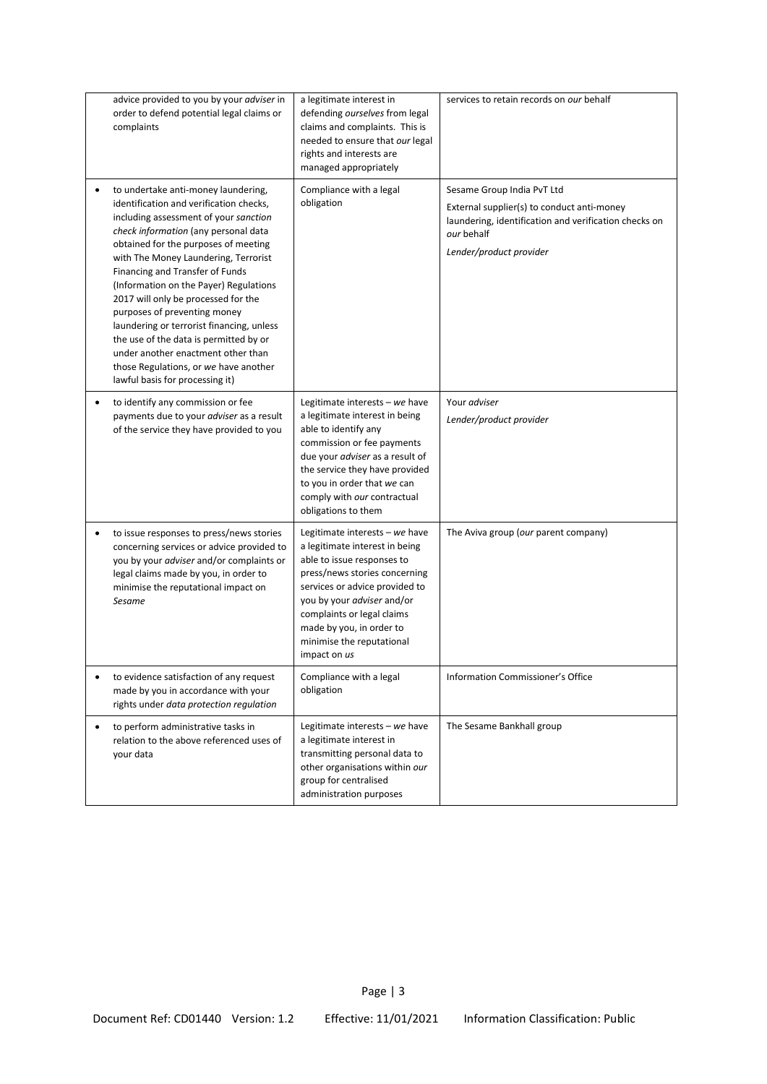| advice provided to you by your adviser in<br>order to defend potential legal claims or<br>complaints                                                                                                                                                                                                                                                                                                                                                                                                                                                                                                              | a legitimate interest in<br>defending ourselves from legal<br>claims and complaints. This is<br>needed to ensure that our legal<br>rights and interests are<br>managed appropriately                                                                                                                   | services to retain records on our behalf                                                                                                                                   |
|-------------------------------------------------------------------------------------------------------------------------------------------------------------------------------------------------------------------------------------------------------------------------------------------------------------------------------------------------------------------------------------------------------------------------------------------------------------------------------------------------------------------------------------------------------------------------------------------------------------------|--------------------------------------------------------------------------------------------------------------------------------------------------------------------------------------------------------------------------------------------------------------------------------------------------------|----------------------------------------------------------------------------------------------------------------------------------------------------------------------------|
| to undertake anti-money laundering,<br>٠<br>identification and verification checks,<br>including assessment of your sanction<br>check information (any personal data<br>obtained for the purposes of meeting<br>with The Money Laundering, Terrorist<br>Financing and Transfer of Funds<br>(Information on the Payer) Regulations<br>2017 will only be processed for the<br>purposes of preventing money<br>laundering or terrorist financing, unless<br>the use of the data is permitted by or<br>under another enactment other than<br>those Regulations, or we have another<br>lawful basis for processing it) | Compliance with a legal<br>obligation                                                                                                                                                                                                                                                                  | Sesame Group India PvT Ltd<br>External supplier(s) to conduct anti-money<br>laundering, identification and verification checks on<br>our behalf<br>Lender/product provider |
| to identify any commission or fee<br>٠<br>payments due to your adviser as a result<br>of the service they have provided to you                                                                                                                                                                                                                                                                                                                                                                                                                                                                                    | Legitimate interests - we have<br>a legitimate interest in being<br>able to identify any<br>commission or fee payments<br>due your adviser as a result of<br>the service they have provided<br>to you in order that we can<br>comply with our contractual<br>obligations to them                       | Your adviser<br>Lender/product provider                                                                                                                                    |
| to issue responses to press/news stories<br>$\bullet$<br>concerning services or advice provided to<br>you by your adviser and/or complaints or<br>legal claims made by you, in order to<br>minimise the reputational impact on<br>Sesame                                                                                                                                                                                                                                                                                                                                                                          | Legitimate interests - we have<br>a legitimate interest in being<br>able to issue responses to<br>press/news stories concerning<br>services or advice provided to<br>you by your adviser and/or<br>complaints or legal claims<br>made by you, in order to<br>minimise the reputational<br>impact on us | The Aviva group (our parent company)                                                                                                                                       |
| to evidence satisfaction of any request<br>made by you in accordance with your<br>rights under data protection regulation                                                                                                                                                                                                                                                                                                                                                                                                                                                                                         | Compliance with a legal<br>obligation                                                                                                                                                                                                                                                                  | <b>Information Commissioner's Office</b>                                                                                                                                   |
| to perform administrative tasks in<br>$\bullet$<br>relation to the above referenced uses of<br>your data                                                                                                                                                                                                                                                                                                                                                                                                                                                                                                          | Legitimate interests - we have<br>a legitimate interest in<br>transmitting personal data to<br>other organisations within our<br>group for centralised<br>administration purposes                                                                                                                      | The Sesame Bankhall group                                                                                                                                                  |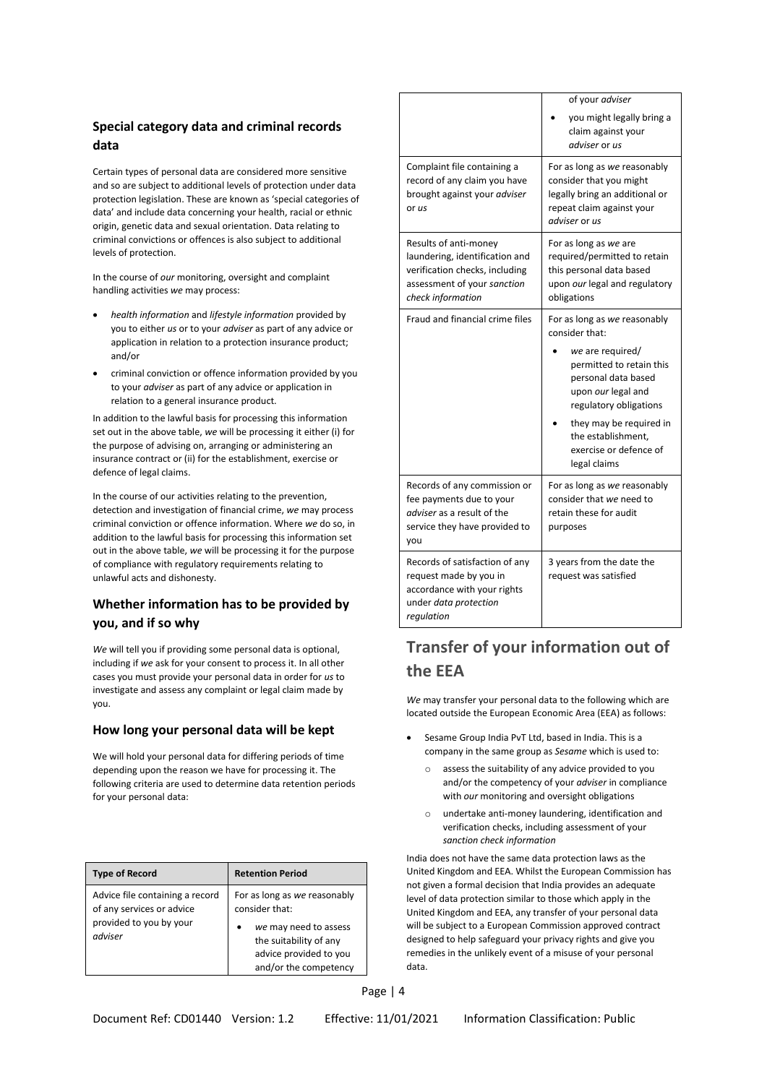# **Special category data and criminal records data**

Certain types of personal data are considered more sensitive and so are subject to additional levels of protection under data protection legislation. These are known as 'special categories of data' and include data concerning your health, racial or ethnic origin, genetic data and sexual orientation. Data relating to criminal convictions or offences is also subject to additional levels of protection.

In the course of *our* monitoring, oversight and complaint handling activities *we* may process:

- *health information* and *lifestyle information* provided by you to either *us* or to your *adviser* as part of any advice or application in relation to a protection insurance product; and/or
- criminal conviction or offence information provided by you to your *adviser* as part of any advice or application in relation to a general insurance product.

In addition to the lawful basis for processing this information set out in the above table, *we* will be processing it either (i) for the purpose of advising on, arranging or administering an insurance contract or (ii) for the establishment, exercise or defence of legal claims.

In the course of our activities relating to the prevention, detection and investigation of financial crime, *we* may process criminal conviction or offence information. Where *we* do so, in addition to the lawful basis for processing this information set out in the above table, *we* will be processing it for the purpose of compliance with regulatory requirements relating to unlawful acts and dishonesty.

# **Whether information has to be provided by you, and if so why**

*We* will tell you if providing some personal data is optional, including if *we* ask for your consent to process it. In all other cases you must provide your personal data in order for *us* to investigate and assess any complaint or legal claim made by you.

### **How long your personal data will be kept**

We will hold your personal data for differing periods of time depending upon the reason we have for processing it. The following criteria are used to determine data retention periods for your personal data:

| <b>Type of Record</b>                                                                              | <b>Retention Period</b>                                                                                                                              |
|----------------------------------------------------------------------------------------------------|------------------------------------------------------------------------------------------------------------------------------------------------------|
| Advice file containing a record<br>of any services or advice<br>provided to you by your<br>adviser | For as long as we reasonably<br>consider that:<br>we may need to assess<br>the suitability of any<br>advice provided to you<br>and/or the competency |

|                                                                                                                                               | of your adviser<br>you might legally bring a<br>claim against your<br>adviser or us                                                                                                                                                                              |
|-----------------------------------------------------------------------------------------------------------------------------------------------|------------------------------------------------------------------------------------------------------------------------------------------------------------------------------------------------------------------------------------------------------------------|
| Complaint file containing a<br>record of any claim you have<br>brought against your adviser<br>or us                                          | For as long as we reasonably<br>consider that you might<br>legally bring an additional or<br>repeat claim against your<br>adviser or us                                                                                                                          |
| Results of anti-money<br>laundering, identification and<br>verification checks, including<br>assessment of your sanction<br>check information | For as long as we are<br>required/permitted to retain<br>this personal data based<br>upon our legal and regulatory<br>obligations                                                                                                                                |
| Fraud and financial crime files                                                                                                               | For as long as we reasonably<br>consider that:<br>we are required/<br>permitted to retain this<br>personal data based<br>upon our legal and<br>regulatory obligations<br>they may be required in<br>the establishment,<br>exercise or defence of<br>legal claims |
| Records of any commission or<br>fee payments due to your<br><i>adviser</i> as a result of the<br>service they have provided to<br>you         | For as long as we reasonably<br>consider that we need to<br>retain these for audit<br>purposes                                                                                                                                                                   |
| Records of satisfaction of any<br>request made by you in<br>accordance with your rights<br>under data protection<br>regulation                | 3 years from the date the<br>request was satisfied                                                                                                                                                                                                               |

# **Transfer of your information out of the EEA**

*We* may transfer your personal data to the following which are located outside the European Economic Area (EEA) as follows:

- Sesame Group India PvT Ltd, based in India. This is a company in the same group as *Sesame* which is used to:
	- o assess the suitability of any advice provided to you and/or the competency of your *adviser* in compliance with *our* monitoring and oversight obligations
	- o undertake anti-money laundering, identification and verification checks, including assessment of your *sanction check information*

India does not have the same data protection laws as the United Kingdom and EEA. Whilst the European Commission has not given a formal decision that India provides an adequate level of data protection similar to those which apply in the United Kingdom and EEA, any transfer of your personal data will be subject to a European Commission approved contract designed to help safeguard your privacy rights and give you remedies in the unlikely event of a misuse of your personal data.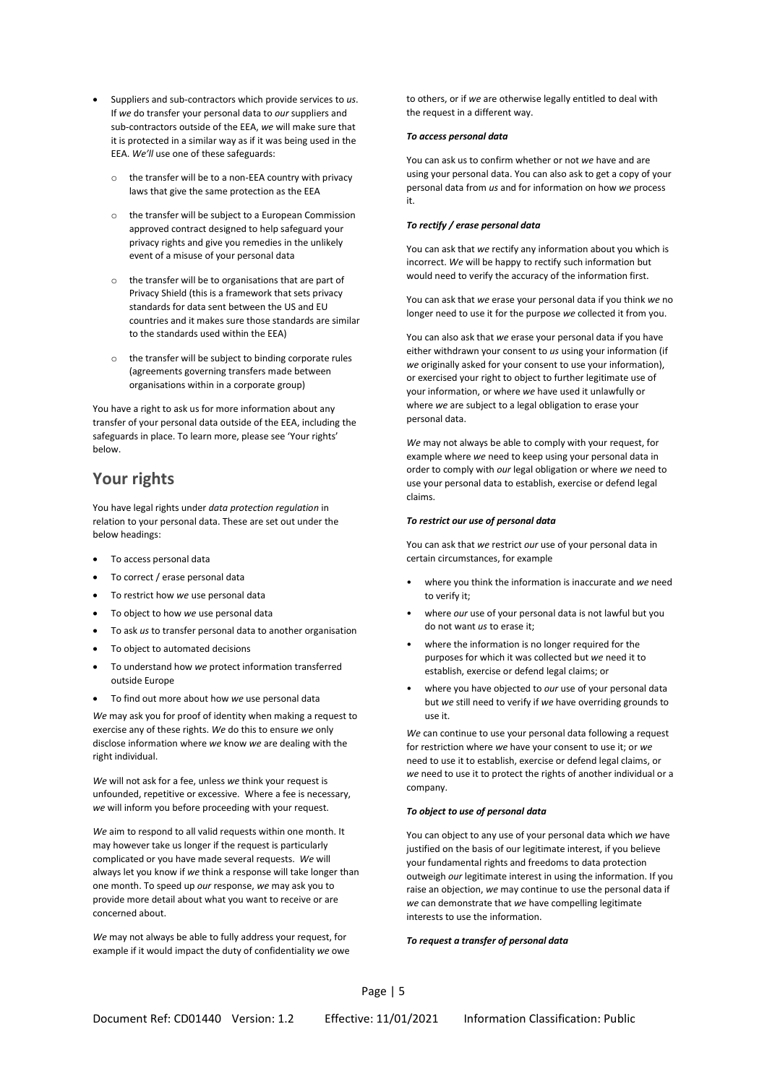- Suppliers and sub-contractors which provide services to *us*. If *we* do transfer your personal data to *our* suppliers and sub-contractors outside of the EEA, *we* will make sure that it is protected in a similar way as if it was being used in the EEA. *We'll* use one of these safeguards:
	- $\circ$  the transfer will be to a non-EEA country with privacy laws that give the same protection as the EEA
	- o the transfer will be subject to a European Commission approved contract designed to help safeguard your privacy rights and give you remedies in the unlikely event of a misuse of your personal data
	- o the transfer will be to organisations that are part of Privacy Shield (this is a framework that sets privacy standards for data sent between the US and EU countries and it makes sure those standards are similar to the standards used within the EEA)
	- o the transfer will be subject to binding corporate rules (agreements governing transfers made between organisations within in a corporate group)

You have a right to ask us for more information about any transfer of your personal data outside of the EEA, including the safeguards in place. To learn more, please see 'Your rights' below.

# **Your rights**

You have legal rights under *data protection regulation* in relation to your personal data. These are set out under the below headings:

- To access personal data
- To correct / erase personal data
- To restrict how *we* use personal data
- To object to how *we* use personal data
- To ask *us* to transfer personal data to another organisation
- To object to automated decisions
- To understand how *we* protect information transferred outside Europe
- To find out more about how *we* use personal data

*We* may ask you for proof of identity when making a request to exercise any of these rights. *We* do this to ensure *we* only disclose information where *we* know *we* are dealing with the right individual.

*We* will not ask for a fee, unless *we* think your request is unfounded, repetitive or excessive. Where a fee is necessary, *we* will inform you before proceeding with your request.

*We* aim to respond to all valid requests within one month. It may however take us longer if the request is particularly complicated or you have made several requests. *We* will always let you know if *we* think a response will take longer than one month. To speed up *our* response, *we* may ask you to provide more detail about what you want to receive or are concerned about.

*We* may not always be able to fully address your request, for example if it would impact the duty of confidentiality *we* owe to others, or if *we* are otherwise legally entitled to deal with the request in a different way.

#### *To access personal data*

You can ask us to confirm whether or not *we* have and are using your personal data. You can also ask to get a copy of your personal data from *us* and for information on how *we* process it.

#### *To rectify / erase personal data*

You can ask that *we* rectify any information about you which is incorrect. *We* will be happy to rectify such information but would need to verify the accuracy of the information first.

You can ask that *we* erase your personal data if you think *we* no longer need to use it for the purpose *we* collected it from you.

You can also ask that *we* erase your personal data if you have either withdrawn your consent to *us* using your information (if *we* originally asked for your consent to use your information), or exercised your right to object to further legitimate use of your information, or where *we* have used it unlawfully or where *we* are subject to a legal obligation to erase your personal data.

*We* may not always be able to comply with your request, for example where *we* need to keep using your personal data in order to comply with *our* legal obligation or where *we* need to use your personal data to establish, exercise or defend legal claims.

#### *To restrict our use of personal data*

You can ask that *we* restrict *our* use of your personal data in certain circumstances, for example

- where you think the information is inaccurate and *we* need to verify it;
- where *our* use of your personal data is not lawful but you do not want *us* to erase it;
- where the information is no longer required for the purposes for which it was collected but *we* need it to establish, exercise or defend legal claims; or
- where you have objected to *our* use of your personal data but *we* still need to verify if *we* have overriding grounds to use it.

*We* can continue to use your personal data following a request for restriction where *we* have your consent to use it; or *we* need to use it to establish, exercise or defend legal claims, or *we* need to use it to protect the rights of another individual or a company.

#### *To object to use of personal data*

You can object to any use of your personal data which *we* have justified on the basis of our legitimate interest, if you believe your fundamental rights and freedoms to data protection outweigh *our* legitimate interest in using the information. If you raise an objection, *we* may continue to use the personal data if *we* can demonstrate that *we* have compelling legitimate interests to use the information.

#### *To request a transfer of personal data*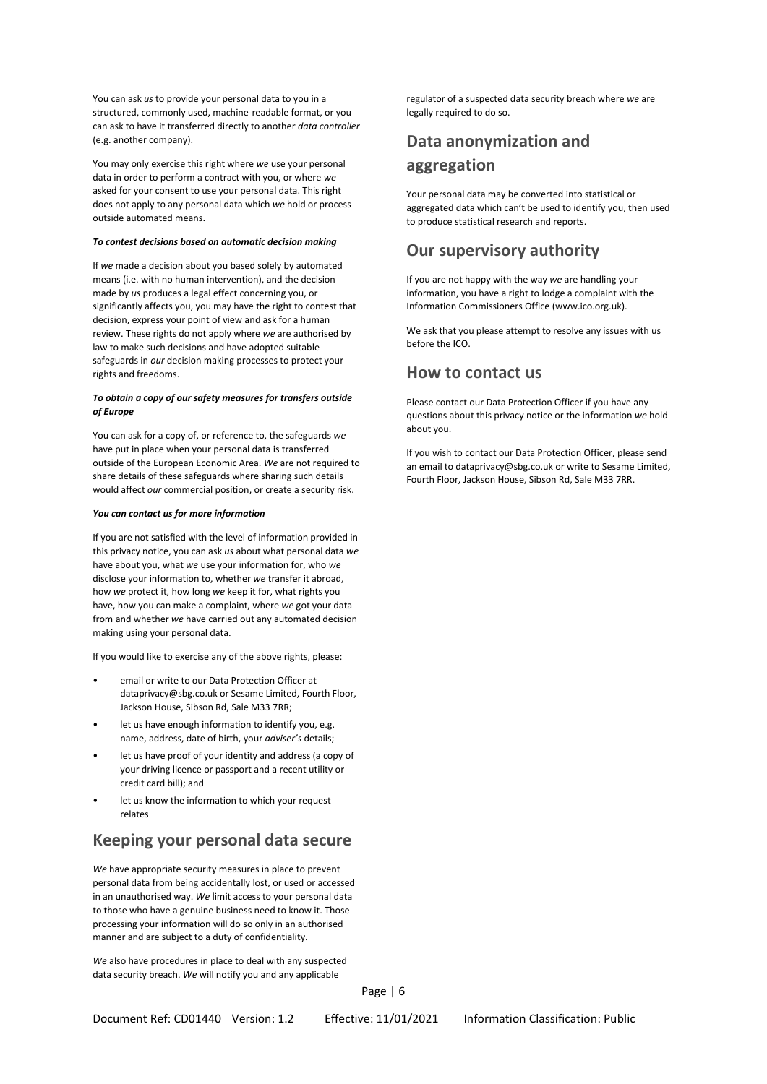You can ask *us* to provide your personal data to you in a structured, commonly used, machine-readable format, or you can ask to have it transferred directly to another *data controller* (e.g. another company).

You may only exercise this right where *we* use your personal data in order to perform a contract with you, or where *we* asked for your consent to use your personal data. This right does not apply to any personal data which *we* hold or process outside automated means.

#### *To contest decisions based on automatic decision making*

If *we* made a decision about you based solely by automated means (i.e. with no human intervention), and the decision made by *us* produces a legal effect concerning you, or significantly affects you, you may have the right to contest that decision, express your point of view and ask for a human review. These rights do not apply where *we* are authorised by law to make such decisions and have adopted suitable safeguards in *our* decision making processes to protect your rights and freedoms.

#### *To obtain a copy of our safety measures for transfers outside of Europe*

You can ask for a copy of, or reference to, the safeguards *we* have put in place when your personal data is transferred outside of the European Economic Area. *We* are not required to share details of these safeguards where sharing such details would affect *our* commercial position, or create a security risk.

#### *You can contact us for more information*

If you are not satisfied with the level of information provided in this privacy notice, you can ask *us* about what personal data *we* have about you, what *we* use your information for, who *we* disclose your information to, whether *we* transfer it abroad, how *we* protect it, how long *we* keep it for, what rights you have, how you can make a complaint, where *we* got your data from and whether *we* have carried out any automated decision making using your personal data.

If you would like to exercise any of the above rights, please:

- email or write to our Data Protection Officer at dataprivacy@sbg.co.uk or Sesame Limited, Fourth Floor, Jackson House, Sibson Rd, Sale M33 7RR;
- let us have enough information to identify you, e.g. name, address, date of birth, your *adviser's* details;
- let us have proof of your identity and address (a copy of your driving licence or passport and a recent utility or credit card bill); and
- let us know the information to which your request relates

# **Keeping your personal data secure**

*We* have appropriate security measures in place to prevent personal data from being accidentally lost, or used or accessed in an unauthorised way. *We* limit access to your personal data to those who have a genuine business need to know it. Those processing your information will do so only in an authorised manner and are subject to a duty of confidentiality.

*We* also have procedures in place to deal with any suspected data security breach. *We* will notify you and any applicable

regulator of a suspected data security breach where *we* are legally required to do so.

# **Data anonymization and aggregation**

Your personal data may be converted into statistical or aggregated data which can't be used to identify you, then used to produce statistical research and reports.

# **Our supervisory authority**

If you are not happy with the way *we* are handling your information, you have a right to lodge a complaint with the Information Commissioners Office (www.ico.org.uk).

We ask that you please attempt to resolve any issues with us before the ICO.

## **How to contact us**

Please contact our Data Protection Officer if you have any questions about this privacy notice or the information *we* hold about you.

If you wish to contact our Data Protection Officer, please send an email to dataprivacy@sbg.co.uk or write to Sesame Limited, Fourth Floor, Jackson House, Sibson Rd, Sale M33 7RR.

Page | 6